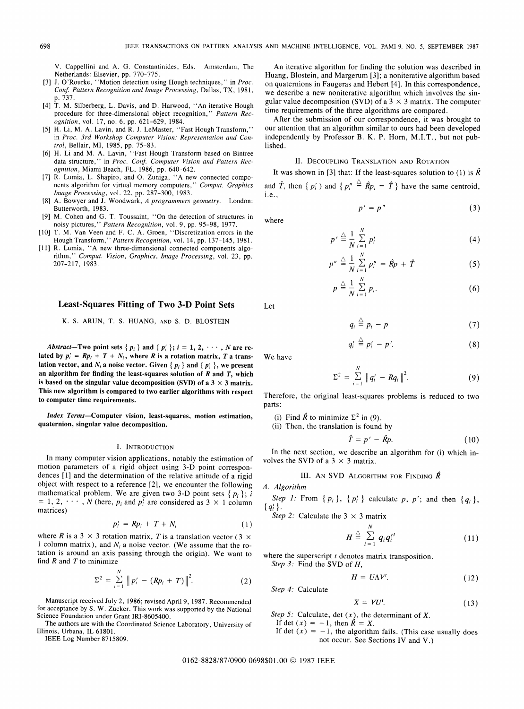V. Cappellini and A. G. Constantinides, Eds. Amsterdam, The Netherlands: Elsevier, pp. 770-775.

- [3] J. O'Rourke, "Motion detection using Hough techniques," in Proc. Conf. Pattern Recognition and Image Processing, Dallas, TX, 1981, p. 737.
- [4] T. M. Silberberg, L. Davis, and D. Harwood, "An iterative Hough procedure for three-dimensional object recognition," Pattern Recognition, vol. 17, no. 6, pp. 621-629, 1984.
- [5] H. Li, M. A. Lavin, and R. J. LeMaster, "Fast Hough Transform," in Proc. 3rd Workshop Computer Vision: Representation and Control, Bellair, MI, 1985, pp. 75-83.
- [6] H. Li and M. A. Lavin, "Fast Hough Transform based on Bintree data structure," in Proc. Conf. Computer Vision and Pattern Recognition, Miami Beach, FL, 1986, pp. 640-642.
- [7] R. Lumia, L. Shapiro, and 0. Zuniga, "A new connected components algorithm for virtual memory computers," Comput. Graphics Image Processing, vol. 22, pp. 287-300, 1983.
- [8] A. Bowyer and J. Woodwark, A programmers geometry. London: Butterworth, 1983.
- [9] M. Cohen and G. T. Toussaint, "On the detection of structures in noisy pictures," Pattern Recognition, vol. 9, pp. 95-98, 1977.
- [10] T. M. Van Veen and F. C. A. Groen, "Discretization errors in the Hough Transform," Pattern Recognition, vol. 14, pp. 137-145, 1981.
- [11] R. Lumia, "A new three-dimensional connected components algorithm," Comput. Vision, Graphics, Image Processing, vol. 23, pp. 207-217, 1983.

# Least-Squares Fitting of Two 3-D Point Sets

#### K. S. ARUN, T. S. HUANG, AND S. D. BLOSTEIN

Abstract-Two point sets { $p_i$ } and { $p'_i$ };  $i = 1, 2, \dots, N$  are related by  $p'_i = Rp_i + T + N_i$ , where R is a rotation matrix, T a translation vector, and  $N_i$  a noise vector. Given {  $p_i$  } and {  $p'_i$  }, we present an algorithm for finding the least-squares solution of  $R$  and  $T$ , which is based on the singular value decomposition (SVD) of a  $3 \times 3$  matrix. This new algorithm is compared to two earlier algorithms with respect to computer time requirements.

Index Terms-Computer vision, least-squares, motion estimation, quaternion, singular value decomposition.

#### I. INTRODUCTION

In many computer vision applications, notably the estimation of motion parameters of a rigid object using 3-D point correspondences [1] and the determination of the relative attitude of a rigid object with respect to a reference [2], we encounter the following mathematical problem. We are given two 3-D point sets  $\{p_i\}$ ; i  $= 1, 2, \dots, N$  (here,  $p_i$  and  $p'_i$  are considered as 3  $\times$  1 column matrices)

$$
p_i' = Rp_i + T + N_i \tag{1}
$$

where R is a 3  $\times$  3 rotation matrix, T is a translation vector (3  $\times$ 1 column matrix), and  $N_i$  a noise vector. (We assume that the rotation is around an axis passing through the origin). We want to find  $R$  and  $T$  to minimize

$$
\Sigma^2 = \sum_{i=1}^N \| p'_i - (Rp_i + T) \|^2.
$$
 (2)

Manuscript received July 2, 1986; revised April 9, 1987. Recommended for acceptance by S. W. Zucker. This work was supported by the National Science Foundation under Grant IRI-8605400.

The authors are with the Coordinated Science Laboratory, University of Illinois, Urbana, IL 61801.

IEEE Log Number 8715809.

An iterative algorithm for finding the solution was described in Huang, Blostein, and Margerum [3]; a noniterative algorithm based on quaternions in Faugeras and Hebert [4]. In this correspondence, we describe <sup>a</sup> new noniterative algorithm which involves the singular value decomposition (SVD) of a  $3 \times 3$  matrix. The computer time requirements of the three algorithms are compared.

After the submission of our correspondence, it was brought to our attention that an algorithm similar to ours had been developed independently by Professor B. K. P. Horn, M.I.T., but not published.

# II. DECOUPLING TRANSLATION AND ROTATION

It was shown in [3] that: If the least-squares solution to (1) is  $\hat{R}$ and  $\hat{T}$ , then  $\{p_i^{\prime}\}$  and  $\{p_i^{\prime\prime}\} \triangleq \hat{R}p_i = \hat{T}\}$  have the same centroid, i. e.,

$$
p' = p'' \tag{3}
$$

$$
p' \stackrel{\triangle}{=} \frac{1}{N} \sum_{i=1}^{N} p'_i
$$
 (4)

$$
p'' \stackrel{\triangle}{=} \frac{1}{N} \sum_{i=1}^{N} p''_i = \hat{R}p + \hat{T}
$$
 (5)

$$
p \stackrel{\triangle}{=} \frac{1}{N} \sum_{i=1}^{N} p_i.
$$
 (6)

$$
q_i \stackrel{\triangle}{=} p_i - p \tag{7}
$$

$$
q_i' \stackrel{\triangle}{=} p_i' - p'. \tag{8}
$$

We have

$$
\Sigma^2 = \sum_{i=1}^N \|q'_i - Rq_i\|^2.
$$
 (9)

Therefore, the original least-squares problems is reduced to two parts:

- (i) Find  $\hat{R}$  to minimize  $\Sigma^2$  in (9).
- (ii) Then, the translation is found by

$$
\hat{T} = p' - \hat{R}p. \tag{10}
$$

In the next section, we describe an algorithm for (i) which involves the SVD of a  $3 \times 3$  matrix.

# III. AN SVD ALGORITHM FOR FINDING  $\hat{R}$

A. Algorithm

Step 1: From  $\{p_i\}$ ,  $\{p'_i\}$  calculate p, p'; and then  $\{q_i\}$ ,  ${q'_i}$ .

Step 2: Calculate the  $3 \times 3$  matrix

$$
H \stackrel{\triangle}{=} \sum_{i=1}^{N} q_i q_i'^t \qquad (11)
$$

where the superscript  $t$  denotes matrix transposition. Step 3: Find the SVD of H,

$$
H = U\Lambda V'.\tag{12}
$$

$$
f_{\rm{max}}
$$

$$
X = VU^t. \tag{13}
$$

Step 5: Calculate, det  $(x)$ , the determinant of X.

If det  $(x) = +1$ , then  $\hat{R} = X$ .

Step 4: Calculate

If det  $(x) = -1$ , the algorithm fails. (This case usually does not occur. See Sections IV and V.)

Let

where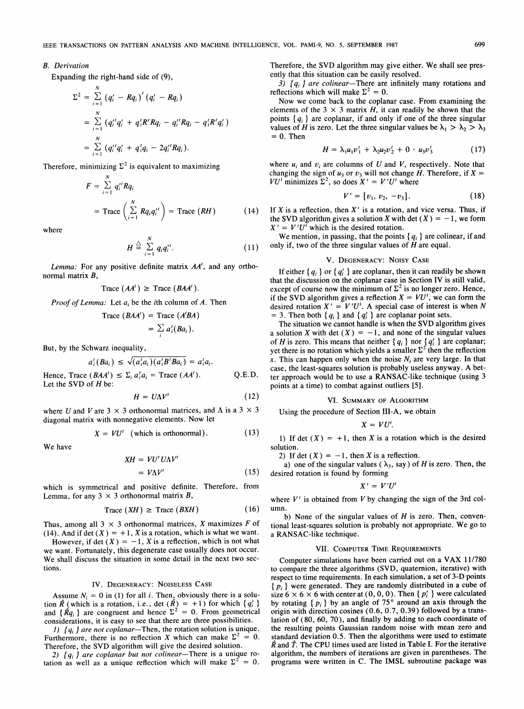## B. Derivation

Expanding the right-hand side of (9),

$$
\Sigma^{2} = \sum_{i=1}^{N} (q'_{i} - Rq_{i})^{t} (q'_{i} - Rq_{i})
$$
  
= 
$$
\sum_{i=1}^{N} (q''_{i}q'_{i} + q'_{i}R^{t}Rq_{i} - q''_{i}Rq_{i} - q'_{i}R^{t}q'_{i})
$$
  
= 
$$
\sum_{i=1}^{N} (q''_{i}q'_{i} + q'_{i}q_{i} - 2q''_{i}Rq_{i}).
$$

Therefore, minimizing  $\Sigma^2$  is equivalent to maximizing

$$
F = \sum_{i=1}^{N} q_i'^{t} R q_i
$$
  
= Trace  $\left( \sum_{i=1}^{N} R q_i q_i'^{t} \right)$  = Trace  $(RH)$  (14)

where

$$
H \stackrel{\triangle}{=} \sum_{i=1}^{N} q_i q_i''.
$$
 (11)

Lemma: For any positive definite matrix  $AA<sup>t</sup>$ , and any orthonormal matrix B,

$$
Trace (AA') \geq Trace (BAA').
$$

*Proof of Lemma:* Let  $a_i$  be the *i*th column of A. Then

Trace 
$$
(BAA')
$$
 = Trace  $(A'BA)$   
=  $\sum_{i} a'_{i}(Ba_{i})$ .

But, by the Schwarz inequality,

$$
a_i^t(Ba_i) \leq \sqrt{(a_i^t a_i)(a_i^t B^t Ba_i)} = a_i^t a_i.
$$

Hence, Trace  $(BAA^t) \leq \sum_i a_i^t a_i = \text{Trace}(AA^t)$ . Let the SVD of  $H$  be: Q.E.D.

$$
H = U\Lambda V^t \tag{12}
$$

where U and V are 3  $\times$  3 orthonormal matrices, and  $\Lambda$  is a 3  $\times$  3 diagonal matrix with nonnegative elements. Now let

$$
X = VU^t \quad \text{(which is orthonormal)}.
$$
 (13)

We have

$$
XH = VU^t U \Lambda V^t
$$

$$
= V\Lambda V' \tag{15}
$$

which is symmetrical and positive definite. Therefore, from Lemma, for any  $3 \times 3$  orthonormal matrix B,

$$
Trace (XH) \geq Trace (BXH) \tag{16}
$$

Thus, among all  $3 \times 3$  orthonormal matrices, X maximizes F of (14). And if det  $(X) = +1$ , X is a rotation, which is what we want.

However, if det  $(X) = -1$ , X is a reflection, which is not what we want. Fortunately, this degenerate case usually does not occur. We shall discuss the situation in some detail in the next two sections.

#### IV. DEGENERACY: NOISELESS CASE

Assume  $N_i = 0$  in (1) for all i. Then, obviously there is a solution  $\hat{R}$  (which is a rotation, i.e., det  $(\hat{R}) = +1$ ) for which  $\{q_i\}$ and  $\{\hat{R}q_i\}$  are congruent and hence  $\Sigma^2 = 0$ . From geometrical considerations, it is easy to see that there are three possibilities.

1)  ${q_i}$  are not coplanar-Then, the rotation solution is unique. Furthermore, there is no reflection X which can make  $\Sigma^2 = 0$ . Therefore, the SVD algorithm will give the desired solution.

2)  ${q_i}$  are coplanar but not colinear-There is a unique rotation as well as a unique reflection which will make  $\Sigma^2 = 0$ . Therefore, the SVD algorithm may give either. We shall see presently that this situation can be easily resolved.

3)  ${q_i}$  are colinear-There are infinitely many rotations and reflections which will make  $\Sigma^2 = 0$ .

Now we come back to the coplanar case. From examining the elements of the 3  $\times$  3 matrix H, it can readily be shown that the points  ${q_i}$  are coplanar, if and only if one of the three singular values of H is zero. Let the three singular values be  $\lambda_1 > \lambda_2 > \lambda_3$  $= 0$ . Then

$$
H = \lambda_1 u_1 v_1' + \lambda_2 u_2 v_2' + 0 \cdot u_3 v_3' \tag{17}
$$

where  $u_i$  and  $v_i$  are columns of U and V, respectively. Note that changing the sign of  $u_3$  or  $v_3$  will not change H. Therefore, if  $X =$  $VU'$  minimizes  $\Sigma^2$ , so does  $X' = V'U'$  where

$$
V' = [v_1, v_2, -v_3]. \tag{18}
$$

If  $X$  is a reflection, then  $X'$  is a rotation, and vice versa. Thus, if the SVD algorithm gives a solution X with det  $(X) = -1$ , we form  $X' = V'U^{\bar{t}}$  which is the desired rotation.

We mention, in passing, that the points  ${q_i}$  are colinear, if and only if, two of the three singular values of  $H$  are equal.

### V. DEGENERACY: NOISY CASE

If either  ${q_i}$  or  ${q'_i}$  are coplanar, then it can readily be shown that the discussion on the coplanar case in Section IV is still valid, except of course now the minimum of  $\Sigma^2$  is no longer zero. Hence, if the SVD algorithm gives a reflection  $X = VU^t$ , we can form the desired rotation  $X' = V'U'$ . A special case of interest is when N = 3. Then both  $\{q_i\}$  and  $\{q'_i\}$  are coplanar point sets.

The situation we cannot handle is when the SVD algorithm gives a solution X with det  $(X) = -1$ , and none of the singular values of H is zero. This means that neither  $\{q_i\}$  nor  $\{q'_i\}$  are coplanar; yet there is no rotation which yields a smaller  $\Sigma^2$  then the reflection x. This can happen only when the noise  $N_i$  are very large. In that case, the least-squares solution is probably useless anyway. A better approach would be to use a RANSAC-like technique (using 3 points at a time) to combat against outliers [5].

## VI. SUMMARY OF ALGORITHM

Using the procedure of Section III-A, we obtain

$$
X=VU^t.
$$

1) If det  $(X) = +1$ , then X is a rotation which is the desired solution.

2) If det  $(X) = -1$ , then X is a reflection.

a) one of the singular values ( $\lambda_3$ , say) of H is zero. Then, the desired rotation is found by forming

$$
X'=V'U'
$$

where  $V'$  is obtained from  $V$  by changing the sign of the 3rd column.

b) None of the singular values of  $H$  is zero. Then, conventional least-squares solution is probably not appropriate. We go to a RANSAC-like technique.

#### VII. COMPUTER TIME REQUIREMENTS

Computer simulations have been carried out on <sup>a</sup> VAX 11/780 to compare the three algorithms (SVD, quaternion, iterative) with respect to time requirements. In each simulation, a set of 3-D points  $\{p_i\}$  were generated. They are randomly distributed in a cube of size  $6 \times 6 \times 6$  with center at  $(0, 0, 0)$ . Then  $\{p_i\}$  were calculated by rotating  $\{p_i\}$  by an angle of 75° around an axis through the origin with direction cosines (0.6, 0.7, 0.39) followed by a translation of (80, 60, 70), and finally by adding to each coordinate of the resulting points Gaussian random noise with mean zero and standard deviation 0.5. Then the algorithms were used to estimate  $\hat{R}$  and  $\hat{T}$ . The CPU times used are listed in Table I. For the iterative algorithm, the numbers of iterations are given in parentheses. The programs were written in C. The IMSL subroutine package was